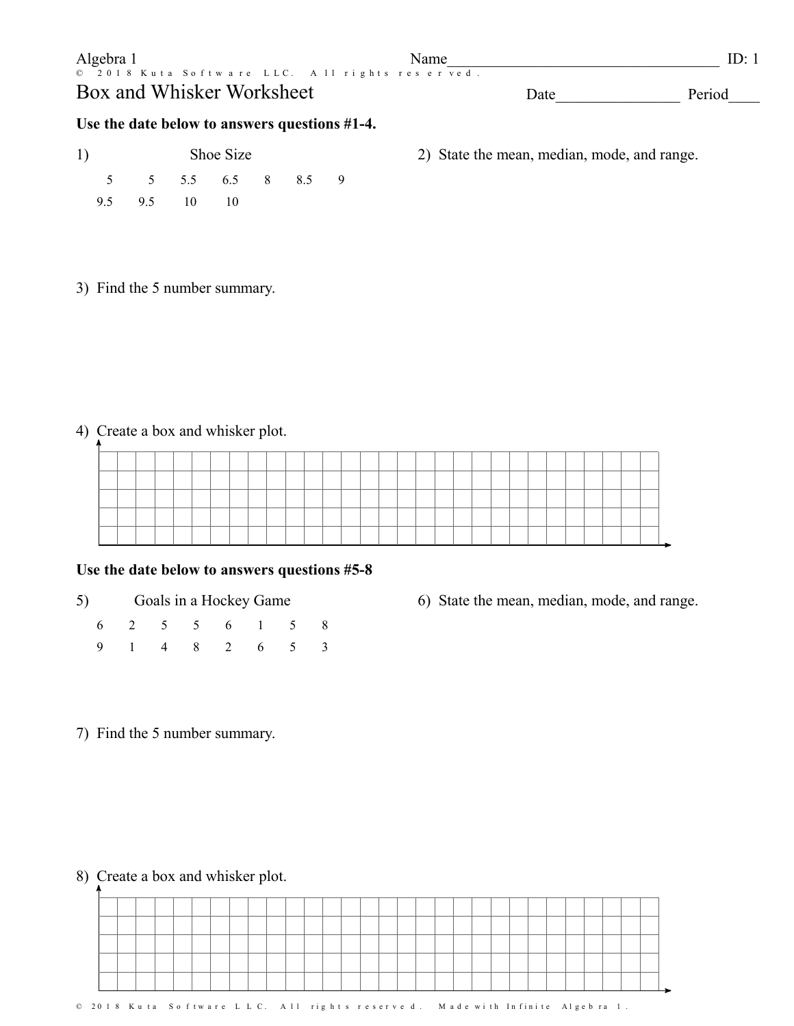| Algebra 1                                                                   | <b>Name</b> | ID:    |
|-----------------------------------------------------------------------------|-------------|--------|
| © 2018 Kuta Software LLC. All rights reserved.<br>Box and Whisker Worksheet | Date        | Period |

## **Use the date below to answers questions #1-4.**

| 1) |                   | Shoe Size |  |                | 2) State |
|----|-------------------|-----------|--|----------------|----------|
|    | 5 5 5.5 6.5 8 8.5 |           |  | $\overline{9}$ |          |
|    | 9.5 9.5 10 10     |           |  |                |          |

2) State the mean, median, mode, and range.

3) Find the 5 number summary.

4) Create a box and whisker plot.

#### **Use the date below to answers questions #5-8**

- 5) Goals in a Hockey Game
	- 6 2 5 5 6 1 5 8 9 1 4 8 2 6 5 3
- 6) State the mean, median, mode, and range.

7) Find the 5 number summary.

8) Create a box and whisker plot.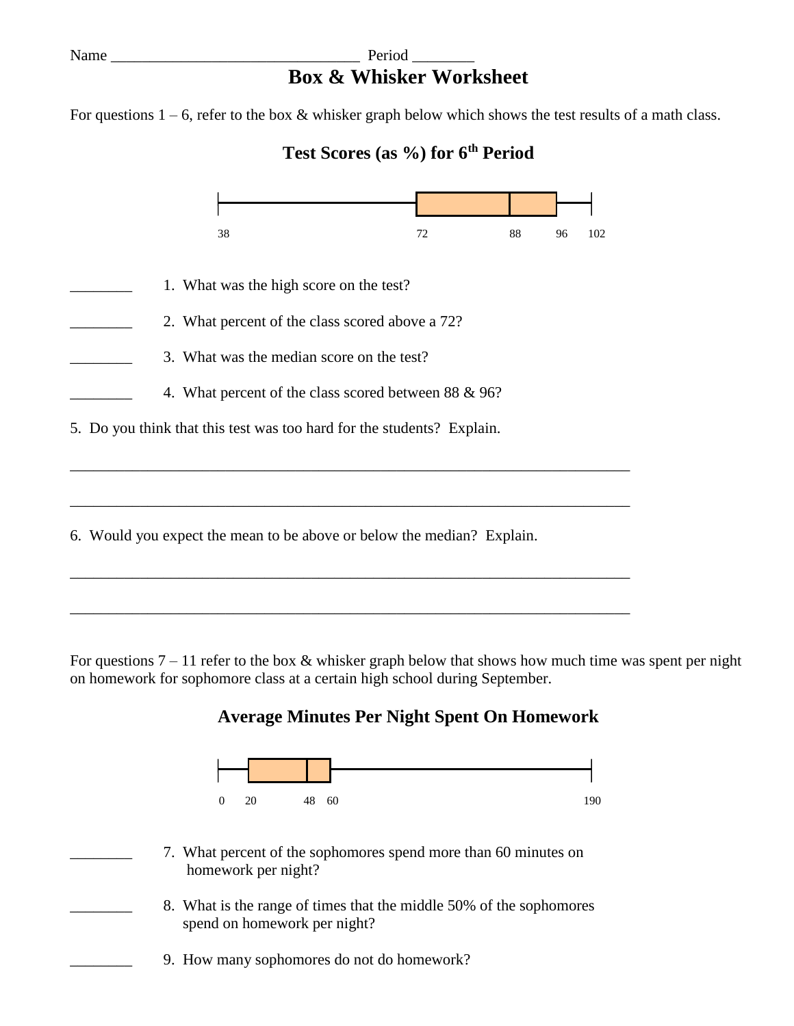## Name Period Period Period Period Period Period Period Period Period Period Period Period Period Period Period Period Period Period Period Period Period Period Period Period Period Period Period Period Period Period Period **Box & Whisker Worksheet**

For questions  $1 - 6$ , refer to the box & whisker graph below which shows the test results of a math class.

# **Test Scores (as %) for 6th Period**



\_\_\_\_\_\_\_\_\_\_\_\_\_\_\_\_\_\_\_\_\_\_\_\_\_\_\_\_\_\_\_\_\_\_\_\_\_\_\_\_\_\_\_\_\_\_\_\_\_\_\_\_\_\_\_\_\_\_\_\_\_\_\_\_\_\_\_\_\_\_\_\_

For questions  $7 - 11$  refer to the box & whisker graph below that shows how much time was spent per night on homework for sophomore class at a certain high school during September.

## **Average Minutes Per Night Spent On Homework**



- \_\_\_\_\_\_\_\_ 7. What percent of the sophomores spend more than 60 minutes on homework per night?
- 8. What is the range of times that the middle 50% of the sophomores spend on homework per night?
- 9. How many sophomores do not do homework?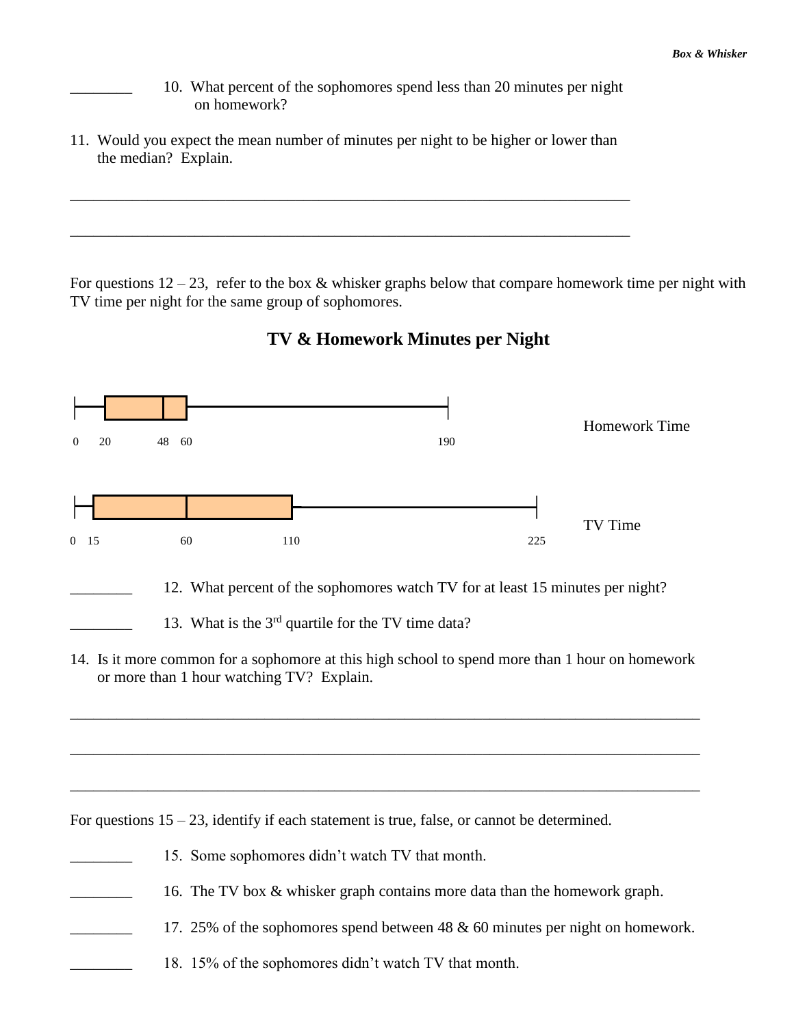- 10. What percent of the sophomores spend less than 20 minutes per night on homework?
- 11. Would you expect the mean number of minutes per night to be higher or lower than the median? Explain.

\_\_\_\_\_\_\_\_\_\_\_\_\_\_\_\_\_\_\_\_\_\_\_\_\_\_\_\_\_\_\_\_\_\_\_\_\_\_\_\_\_\_\_\_\_\_\_\_\_\_\_\_\_\_\_\_\_\_\_\_\_\_\_\_\_\_\_\_\_\_\_\_

\_\_\_\_\_\_\_\_\_\_\_\_\_\_\_\_\_\_\_\_\_\_\_\_\_\_\_\_\_\_\_\_\_\_\_\_\_\_\_\_\_\_\_\_\_\_\_\_\_\_\_\_\_\_\_\_\_\_\_\_\_\_\_\_\_\_\_\_\_\_\_\_

For questions  $12 - 23$ , refer to the box & whisker graphs below that compare homework time per night with TV time per night for the same group of sophomores.



\_\_\_\_\_\_\_\_\_\_\_\_\_\_\_\_\_\_\_\_\_\_\_\_\_\_\_\_\_\_\_\_\_\_\_\_\_\_\_\_\_\_\_\_\_\_\_\_\_\_\_\_\_\_\_\_\_\_\_\_\_\_\_\_\_\_\_\_\_\_\_\_\_\_\_\_\_\_\_\_\_

\_\_\_\_\_\_\_\_\_\_\_\_\_\_\_\_\_\_\_\_\_\_\_\_\_\_\_\_\_\_\_\_\_\_\_\_\_\_\_\_\_\_\_\_\_\_\_\_\_\_\_\_\_\_\_\_\_\_\_\_\_\_\_\_\_\_\_\_\_\_\_\_\_\_\_\_\_\_\_\_\_

\_\_\_\_\_\_\_\_\_\_\_\_\_\_\_\_\_\_\_\_\_\_\_\_\_\_\_\_\_\_\_\_\_\_\_\_\_\_\_\_\_\_\_\_\_\_\_\_\_\_\_\_\_\_\_\_\_\_\_\_\_\_\_\_\_\_\_\_\_\_\_\_\_\_\_\_\_\_\_\_\_

## **TV & Homework Minutes per Night**

For questions  $15 - 23$ , identify if each statement is true, false, or cannot be determined.

- 15. Some sophomores didn't watch TV that month.
- 16. The TV box & whisker graph contains more data than the homework graph.
- 17. 25% of the sophomores spend between 48 & 60 minutes per night on homework.
- 18. 15% of the sophomores didn't watch TV that month.